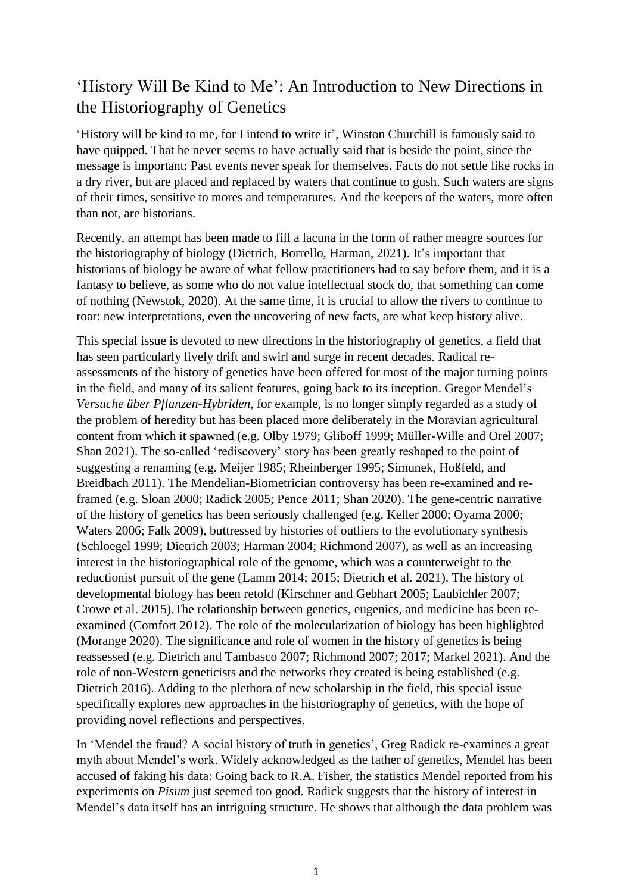## 'History Will Be Kind to Me': An Introduction to New Directions in the Historiography of Genetics

'History will be kind to me, for I intend to write it', Winston Churchill is famously said to have quipped. That he never seems to have actually said that is beside the point, since the message is important: Past events never speak for themselves. Facts do not settle like rocks in a dry river, but are placed and replaced by waters that continue to gush. Such waters are signs of their times, sensitive to mores and temperatures. And the keepers of the waters, more often than not, are historians.

Recently, an attempt has been made to fill a lacuna in the form of rather meagre sources for the historiography of biology (Dietrich, Borrello, Harman, 2021). It's important that historians of biology be aware of what fellow practitioners had to say before them, and it is a fantasy to believe, as some who do not value intellectual stock do, that something can come of nothing (Newstok, 2020). At the same time, it is crucial to allow the rivers to continue to roar: new interpretations, even the uncovering of new facts, are what keep history alive.

This special issue is devoted to new directions in the historiography of genetics, a field that has seen particularly lively drift and swirl and surge in recent decades. Radical reassessments of the history of genetics have been offered for most of the major turning points in the field, and many of its salient features, going back to its inception. Gregor Mendel's *Versuche über Pflanzen-Hybriden*, for example, is no longer simply regarded as a study of the problem of heredity but has been placed more deliberately in the Moravian agricultural content from which it spawned (e.g. Olby 1979; Gliboff 1999; Müller-Wille and Orel 2007; Shan 2021). The so-called 'rediscovery' story has been greatly reshaped to the point of suggesting a renaming (e.g. Meijer 1985; Rheinberger 1995; Simunek, Hoßfeld, and Breidbach 2011). The Mendelian-Biometrician controversy has been re-examined and reframed (e.g. Sloan 2000; Radick 2005; Pence 2011; Shan 2020). The gene-centric narrative of the history of genetics has been seriously challenged (e.g. Keller 2000; Oyama 2000; Waters 2006; Falk 2009), buttressed by histories of outliers to the evolutionary synthesis (Schloegel 1999; Dietrich 2003; Harman 2004; Richmond 2007), as well as an increasing interest in the historiographical role of the genome, which was a counterweight to the reductionist pursuit of the gene (Lamm 2014; 2015; Dietrich et al. 2021). The history of developmental biology has been retold (Kirschner and Gebhart 2005; Laubichler 2007; Crowe et al. 2015).The relationship between genetics, eugenics, and medicine has been reexamined (Comfort 2012). The role of the molecularization of biology has been highlighted (Morange 2020). The significance and role of women in the history of genetics is being reassessed (e.g. Dietrich and Tambasco 2007; Richmond 2007; 2017; Markel 2021). And the role of non-Western geneticists and the networks they created is being established (e.g. Dietrich 2016). Adding to the plethora of new scholarship in the field, this special issue specifically explores new approaches in the historiography of genetics, with the hope of providing novel reflections and perspectives.

In 'Mendel the fraud? A social history of truth in genetics', Greg Radick re-examines a great myth about Mendel's work. Widely acknowledged as the father of genetics, Mendel has been accused of faking his data: Going back to R.A. Fisher, the statistics Mendel reported from his experiments on *Pisum* just seemed too good. Radick suggests that the history of interest in Mendel's data itself has an intriguing structure. He shows that although the data problem was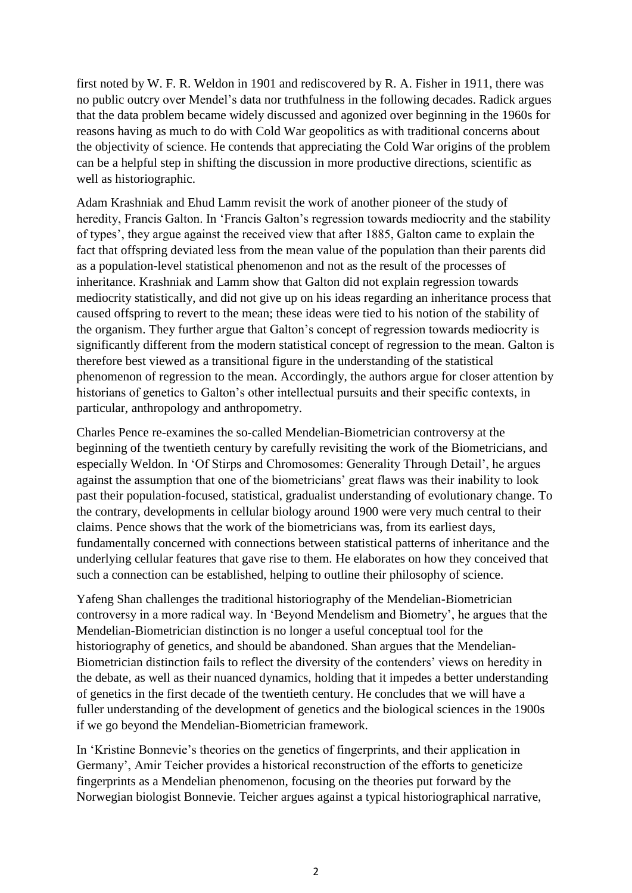first noted by W. F. R. Weldon in 1901 and rediscovered by R. A. Fisher in 1911, there was no public outcry over Mendel's data nor truthfulness in the following decades. Radick argues that the data problem became widely discussed and agonized over beginning in the 1960s for reasons having as much to do with Cold War geopolitics as with traditional concerns about the objectivity of science. He contends that appreciating the Cold War origins of the problem can be a helpful step in shifting the discussion in more productive directions, scientific as well as historiographic.

Adam Krashniak and Ehud Lamm revisit the work of another pioneer of the study of heredity, Francis Galton. In 'Francis Galton's regression towards mediocrity and the stability of types', they argue against the received view that after 1885, Galton came to explain the fact that offspring deviated less from the mean value of the population than their parents did as a population-level statistical phenomenon and not as the result of the processes of inheritance. Krashniak and Lamm show that Galton did not explain regression towards mediocrity statistically, and did not give up on his ideas regarding an inheritance process that caused offspring to revert to the mean; these ideas were tied to his notion of the stability of the organism. They further argue that Galton's concept of regression towards mediocrity is significantly different from the modern statistical concept of regression to the mean. Galton is therefore best viewed as a transitional figure in the understanding of the statistical phenomenon of regression to the mean. Accordingly, the authors argue for closer attention by historians of genetics to Galton's other intellectual pursuits and their specific contexts, in particular, anthropology and anthropometry.

Charles Pence re-examines the so-called Mendelian-Biometrician controversy at the beginning of the twentieth century by carefully revisiting the work of the Biometricians, and especially Weldon. In 'Of Stirps and Chromosomes: Generality Through Detail', he argues against the assumption that one of the biometricians' great flaws was their inability to look past their population-focused, statistical, gradualist understanding of evolutionary change. To the contrary, developments in cellular biology around 1900 were very much central to their claims. Pence shows that the work of the biometricians was, from its earliest days, fundamentally concerned with connections between statistical patterns of inheritance and the underlying cellular features that gave rise to them. He elaborates on how they conceived that such a connection can be established, helping to outline their philosophy of science.

Yafeng Shan challenges the traditional historiography of the Mendelian-Biometrician controversy in a more radical way. In 'Beyond Mendelism and Biometry', he argues that the Mendelian-Biometrician distinction is no longer a useful conceptual tool for the historiography of genetics, and should be abandoned. Shan argues that the Mendelian-Biometrician distinction fails to reflect the diversity of the contenders' views on heredity in the debate, as well as their nuanced dynamics, holding that it impedes a better understanding of genetics in the first decade of the twentieth century. He concludes that we will have a fuller understanding of the development of genetics and the biological sciences in the 1900s if we go beyond the Mendelian-Biometrician framework.

In 'Kristine Bonnevie's theories on the genetics of fingerprints, and their application in Germany', Amir Teicher provides a historical reconstruction of the efforts to geneticize fingerprints as a Mendelian phenomenon, focusing on the theories put forward by the Norwegian biologist Bonnevie. Teicher argues against a typical historiographical narrative,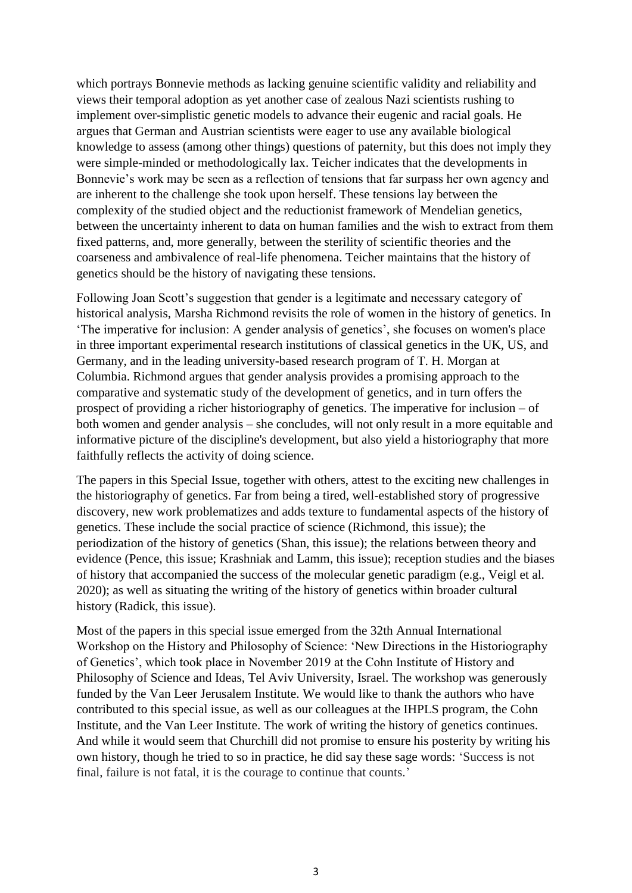which portrays Bonnevie methods as lacking genuine scientific validity and reliability and views their temporal adoption as yet another case of zealous Nazi scientists rushing to implement over-simplistic genetic models to advance their eugenic and racial goals. He argues that German and Austrian scientists were eager to use any available biological knowledge to assess (among other things) questions of paternity, but this does not imply they were simple-minded or methodologically lax. Teicher indicates that the developments in Bonnevie's work may be seen as a reflection of tensions that far surpass her own agency and are inherent to the challenge she took upon herself. These tensions lay between the complexity of the studied object and the reductionist framework of Mendelian genetics, between the uncertainty inherent to data on human families and the wish to extract from them fixed patterns, and, more generally, between the sterility of scientific theories and the coarseness and ambivalence of real-life phenomena. Teicher maintains that the history of genetics should be the history of navigating these tensions.

Following Joan Scott's suggestion that gender is a legitimate and necessary category of historical analysis, Marsha Richmond revisits the role of women in the history of genetics. In 'The imperative for inclusion: A gender analysis of genetics', she focuses on women's place in three important experimental research institutions of classical genetics in the UK, US, and Germany, and in the leading university-based research program of T. H. Morgan at Columbia. Richmond argues that gender analysis provides a promising approach to the comparative and systematic study of the development of genetics, and in turn offers the prospect of providing a richer historiography of genetics. The imperative for inclusion – of both women and gender analysis – she concludes, will not only result in a more equitable and informative picture of the discipline's development, but also yield a historiography that more faithfully reflects the activity of doing science.

The papers in this Special Issue, together with others, attest to the exciting new challenges in the historiography of genetics. Far from being a tired, well-established story of progressive discovery, new work problematizes and adds texture to fundamental aspects of the history of genetics. These include the social practice of science (Richmond, this issue); the periodization of the history of genetics (Shan, this issue); the relations between theory and evidence (Pence, this issue; Krashniak and Lamm, this issue); reception studies and the biases of history that accompanied the success of the molecular genetic paradigm (e.g., Veigl et al. 2020); as well as situating the writing of the history of genetics within broader cultural history (Radick, this issue).

Most of the papers in this special issue emerged from the 32th Annual International Workshop on the History and Philosophy of Science: 'New Directions in the Historiography of Genetics', which took place in November 2019 at the Cohn Institute of History and Philosophy of Science and Ideas, Tel Aviv University, Israel. The workshop was generously funded by the Van Leer Jerusalem Institute. We would like to thank the authors who have contributed to this special issue, as well as our colleagues at the IHPLS program, the Cohn Institute, and the Van Leer Institute. The work of writing the history of genetics continues. And while it would seem that Churchill did not promise to ensure his posterity by writing his own history, though he tried to so in practice, he did say these sage words: 'Success is not final, failure is not fatal, it is the courage to continue that counts.'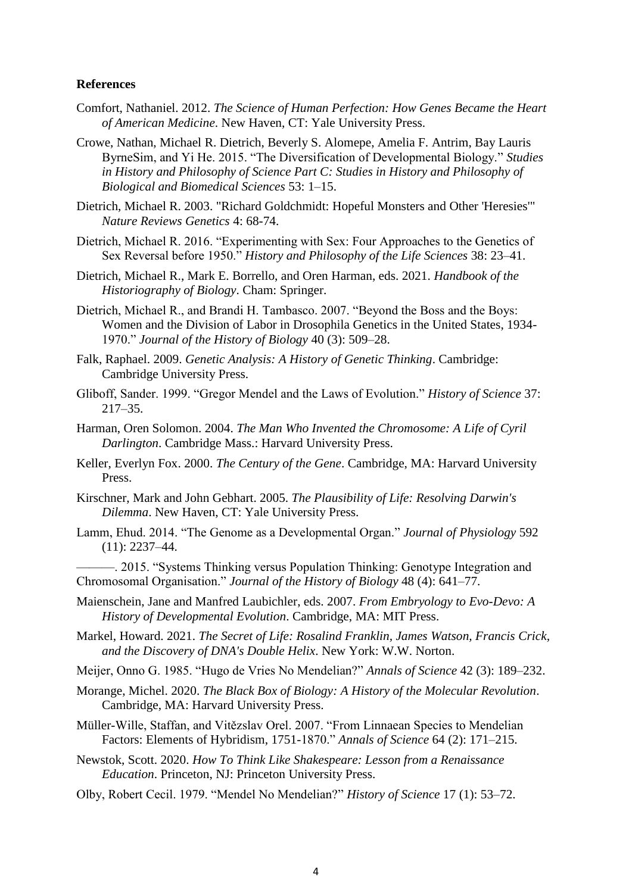## **References**

- Comfort, Nathaniel. 2012. *The Science of Human Perfection: How Genes Became the Heart of American Medicine*. New Haven, CT: Yale University Press.
- Crowe, Nathan, Michael R. Dietrich, Beverly S. Alomepe, Amelia F. Antrim, Bay Lauris ByrneSim, and Yi He. 2015. "The Diversification of Developmental Biology." *Studies in History and Philosophy of Science Part C: Studies in History and Philosophy of Biological and Biomedical Sciences* 53: 1–15.
- Dietrich, Michael R. 2003. "Richard Goldchmidt: Hopeful Monsters and Other 'Heresies'" *Nature Reviews Genetics* 4: 68-74.
- Dietrich, Michael R. 2016. "Experimenting with Sex: Four Approaches to the Genetics of Sex Reversal before 1950." *History and Philosophy of the Life Sciences* 38: 23–41.
- Dietrich, Michael R., Mark E. Borrello, and Oren Harman, eds. 2021. *Handbook of the Historiography of Biology*. Cham: Springer.
- Dietrich, Michael R., and Brandi H. Tambasco. 2007. "Beyond the Boss and the Boys: Women and the Division of Labor in Drosophila Genetics in the United States, 1934- 1970." *Journal of the History of Biology* 40 (3): 509–28.
- Falk, Raphael. 2009. *Genetic Analysis: A History of Genetic Thinking*. Cambridge: Cambridge University Press.
- Gliboff, Sander. 1999. "Gregor Mendel and the Laws of Evolution." *History of Science* 37: 217–35.
- Harman, Oren Solomon. 2004. *The Man Who Invented the Chromosome: A Life of Cyril Darlington*. Cambridge Mass.: Harvard University Press.
- Keller, Everlyn Fox. 2000. *The Century of the Gene*. Cambridge, MA: Harvard University Press.
- Kirschner, Mark and John Gebhart. 2005. *The Plausibility of Life: Resolving Darwin's Dilemma*. New Haven, CT: Yale University Press.
- Lamm, Ehud. 2014. "The Genome as a Developmental Organ." *Journal of Physiology* 592 (11): 2237–44.
- ———. 2015. "Systems Thinking versus Population Thinking: Genotype Integration and Chromosomal Organisation." *Journal of the History of Biology* 48 (4): 641–77.
- Maienschein, Jane and Manfred Laubichler, eds. 2007. *From Embryology to Evo-Devo: A History of Developmental Evolution*. Cambridge, MA: MIT Press.
- Markel, Howard. 2021. *The Secret of Life: Rosalind Franklin, James Watson, Francis Crick, and the Discovery of DNA's Double Helix*. New York: W.W. Norton.
- Meijer, Onno G. 1985. "Hugo de Vries No Mendelian?" *Annals of Science* 42 (3): 189–232.
- Morange, Michel. 2020. *The Black Box of Biology: A History of the Molecular Revolution*. Cambridge, MA: Harvard University Press.
- Müller-Wille, Staffan, and Vitězslav Orel. 2007. "From Linnaean Species to Mendelian Factors: Elements of Hybridism, 1751-1870." *Annals of Science* 64 (2): 171–215.
- Newstok, Scott. 2020. *How To Think Like Shakespeare: Lesson from a Renaissance Education*. Princeton, NJ: Princeton University Press.
- Olby, Robert Cecil. 1979. "Mendel No Mendelian?" *History of Science* 17 (1): 53–72.